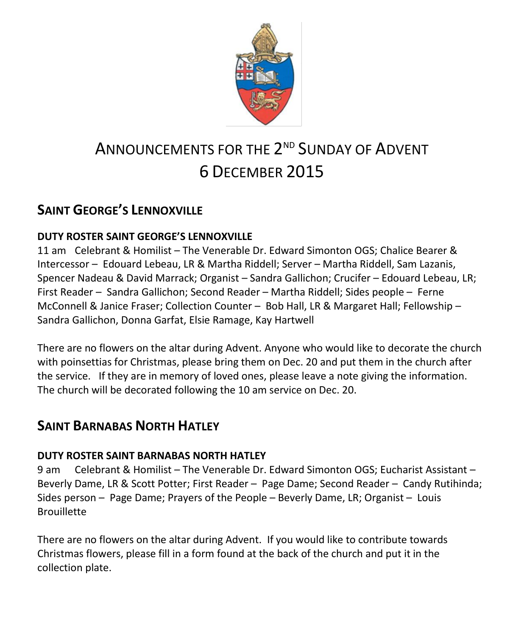

# ANNOUNCEMENTS FOR THE 2<sup>ND</sup> SUNDAY OF ADVENT 6 DECEMBER 2015

### **SAINT GEORGE'S LENNOXVILLE**

### **DUTY ROSTER SAINT GEORGE'S LENNOXVILLE**

11 am Celebrant & Homilist – The Venerable Dr. Edward Simonton OGS; Chalice Bearer & Intercessor – Edouard Lebeau, LR & Martha Riddell; Server – Martha Riddell, Sam Lazanis, Spencer Nadeau & David Marrack; Organist – Sandra Gallichon; Crucifer – Edouard Lebeau, LR; First Reader – Sandra Gallichon; Second Reader – Martha Riddell; Sides people – Ferne McConnell & Janice Fraser; Collection Counter – Bob Hall, LR & Margaret Hall; Fellowship – Sandra Gallichon, Donna Garfat, Elsie Ramage, Kay Hartwell

There are no flowers on the altar during Advent. Anyone who would like to decorate the church with poinsettias for Christmas, please bring them on Dec. 20 and put them in the church after the service. If they are in memory of loved ones, please leave a note giving the information. The church will be decorated following the 10 am service on Dec. 20.

### **SAINT BARNABAS NORTH HATLEY**

### **DUTY ROSTER SAINT BARNABAS NORTH HATLEY**

9 am Celebrant & Homilist – The Venerable Dr. Edward Simonton OGS; Eucharist Assistant – Beverly Dame, LR & Scott Potter; First Reader – Page Dame; Second Reader – Candy Rutihinda; Sides person – Page Dame; Prayers of the People – Beverly Dame, LR; Organist – Louis **Brouillette** 

There are no flowers on the altar during Advent. If you would like to contribute towards Christmas flowers, please fill in a form found at the back of the church and put it in the collection plate.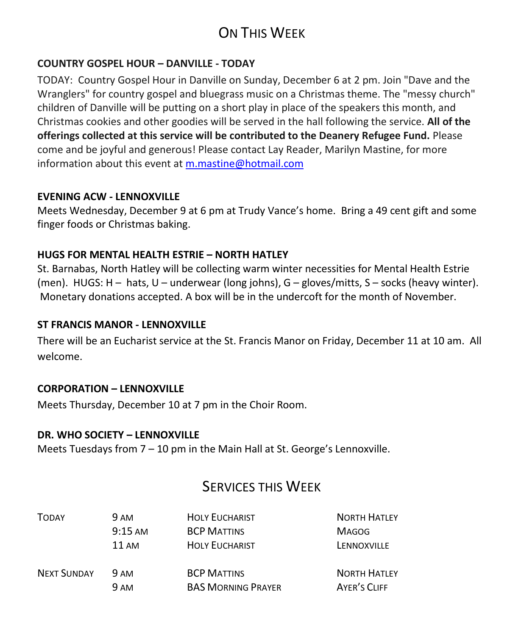## ON THIS WEEK

### **COUNTRY GOSPEL HOUR – DANVILLE - TODAY**

TODAY: Country Gospel Hour in Danville on Sunday, December 6 at 2 pm. Join "Dave and the Wranglers" for country gospel and bluegrass music on a Christmas theme. The "messy church" children of Danville will be putting on a short play in place of the speakers this month, and Christmas cookies and other goodies will be served in the hall following the service. **All of the offerings collected at this service will be contributed to the Deanery Refugee Fund.** Please come and be joyful and generous! Please contact Lay Reader, Marilyn Mastine, for more information about this event at [m.mastine@hotmail.com](https://webmail.ubishops.ca/owa/redir.aspx?SURL=5-WNDTNqqovtrmhweQPpf7ZEN-DQWk6C7Qe22IRLtOK2ZjG15PDSCG0AYQBpAGwAdABvADoAbQAuAG0AYQBzAHQAaQBuAGUAQABoAG8AdABtAGEAaQBsAC4AYwBvAG0A&URL=mailto%3am.mastine%40hotmail.com)

### **EVENING ACW - LENNOXVILLE**

Meets Wednesday, December 9 at 6 pm at Trudy Vance's home. Bring a 49 cent gift and some finger foods or Christmas baking.

### **HUGS FOR MENTAL HEALTH ESTRIE – NORTH HATLEY**

St. Barnabas, North Hatley will be collecting warm winter necessities for Mental Health Estrie (men). HUGS: H – hats, U – underwear (long johns), G – gloves/mitts, S – socks (heavy winter). Monetary donations accepted. A box will be in the undercoft for the month of November.

### **ST FRANCIS MANOR - LENNOXVILLE**

There will be an Eucharist service at the St. Francis Manor on Friday, December 11 at 10 am. All welcome.

### **CORPORATION – LENNOXVILLE**

Meets Thursday, December 10 at 7 pm in the Choir Room.

### **DR. WHO SOCIETY – LENNOXVILLE**

Meets Tuesdays from 7 – 10 pm in the Main Hall at St. George's Lennoxville.

### SERVICES THIS WEEK

| <b>TODAY</b>       | <b>9 AM</b> | <b>HOLY EUCHARIST</b>     | <b>NORTH HATLEY</b> |
|--------------------|-------------|---------------------------|---------------------|
|                    | $9:15$ AM   | <b>BCP MATTINS</b>        | <b>MAGOG</b>        |
|                    | 11 AM       | <b>HOLY EUCHARIST</b>     | LENNOXVILLE         |
| <b>NEXT SUNDAY</b> | 9 AM        | <b>BCP MATTINS</b>        | <b>NORTH HATLEY</b> |
|                    | 9 AM        | <b>BAS MORNING PRAYER</b> | AYER'S CLIFF        |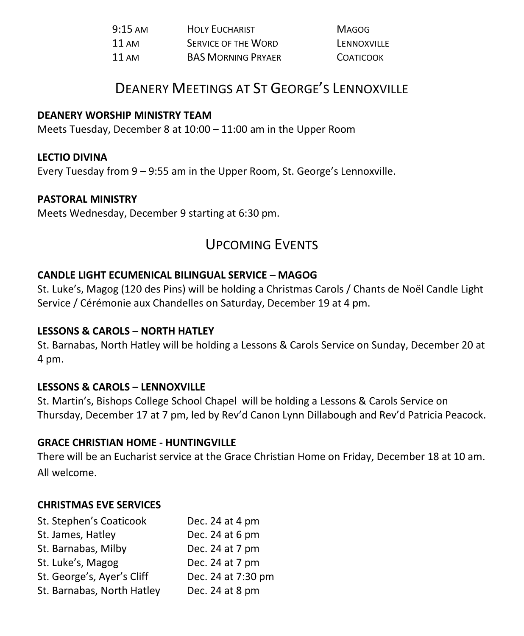| $9:15 \text{ AM}$ | <b>HOLY EUCHARIST</b>      | <b>MAGOG</b>     |
|-------------------|----------------------------|------------------|
| 11 AM             | <b>SERVICE OF THE WORD</b> | LENNOXVILLE      |
| $11 \text{ AM}$   | <b>BAS MORNING PRYAER</b>  | <b>COATICOOK</b> |

### DEANERY MEETINGS AT ST GEORGE'S LENNOXVILLE

### **DEANERY WORSHIP MINISTRY TEAM**

Meets Tuesday, December 8 at 10:00 – 11:00 am in the Upper Room

### **LECTIO DIVINA**

Every Tuesday from 9 – 9:55 am in the Upper Room, St. George's Lennoxville.

### **PASTORAL MINISTRY**

Meets Wednesday, December 9 starting at 6:30 pm.

### UPCOMING EVENTS

### **CANDLE LIGHT ECUMENICAL BILINGUAL SERVICE – MAGOG**

St. Luke's, Magog (120 des Pins) will be holding a Christmas Carols / Chants de Noël Candle Light Service / Cérémonie aux Chandelles on Saturday, December 19 at 4 pm.

### **LESSONS & CAROLS – NORTH HATLEY**

St. Barnabas, North Hatley will be holding a Lessons & Carols Service on Sunday, December 20 at 4 pm.

### **LESSONS & CAROLS – LENNOXVILLE**

St. Martin's, Bishops College School Chapel will be holding a Lessons & Carols Service on Thursday, December 17 at 7 pm, led by Rev'd Canon Lynn Dillabough and Rev'd Patricia Peacock.

### **GRACE CHRISTIAN HOME - HUNTINGVILLE**

There will be an Eucharist service at the Grace Christian Home on Friday, December 18 at 10 am. All welcome.

### **CHRISTMAS EVE SERVICES**

| St. Stephen's Coaticook    | Dec. 24 at 4 pm    |
|----------------------------|--------------------|
| St. James, Hatley          | Dec. 24 at 6 pm    |
| St. Barnabas, Milby        | Dec. 24 at 7 pm    |
| St. Luke's, Magog          | Dec. 24 at 7 pm    |
| St. George's, Ayer's Cliff | Dec. 24 at 7:30 pm |
| St. Barnabas, North Hatley | Dec. 24 at 8 pm    |